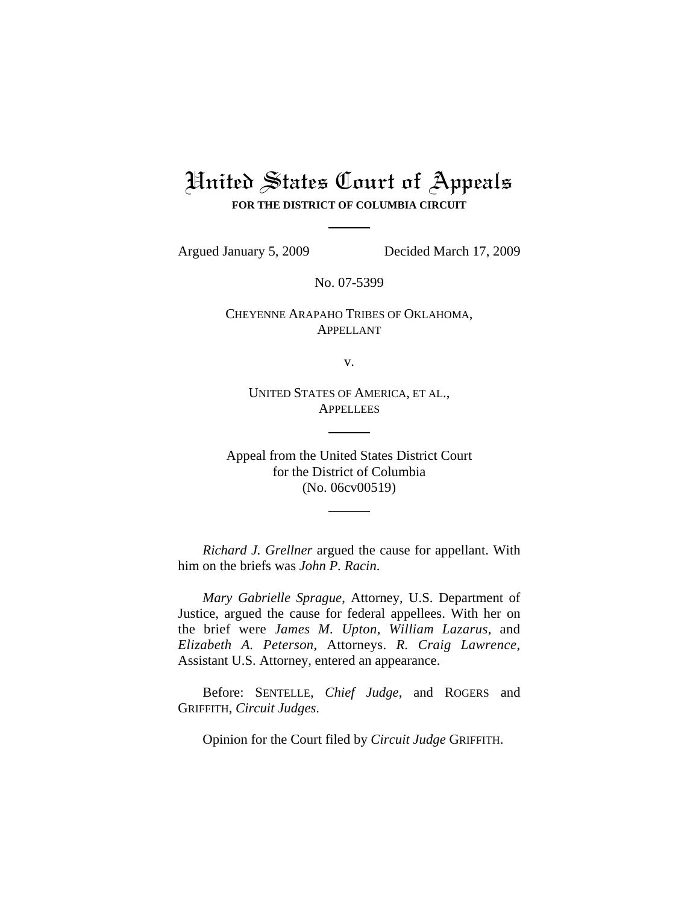# United States Court of Appeals **FOR THE DISTRICT OF COLUMBIA CIRCUIT**

Argued January 5, 2009 Decided March 17, 2009

No. 07-5399

CHEYENNE ARAPAHO TRIBES OF OKLAHOMA, APPELLANT

v.

UNITED STATES OF AMERICA, ET AL., **APPELLEES** 

Appeal from the United States District Court for the District of Columbia (No. 06cv00519)

*Richard J. Grellner* argued the cause for appellant. With him on the briefs was *John P. Racin*.

*Mary Gabrielle Sprague*, Attorney, U.S. Department of Justice, argued the cause for federal appellees. With her on the brief were *James M. Upton*, *William Lazarus*, and *Elizabeth A. Peterson*, Attorneys. *R. Craig Lawrence*, Assistant U.S. Attorney, entered an appearance.

Before: SENTELLE, *Chief Judge*, and ROGERS and GRIFFITH, *Circuit Judges*.

Opinion for the Court filed by *Circuit Judge* GRIFFITH.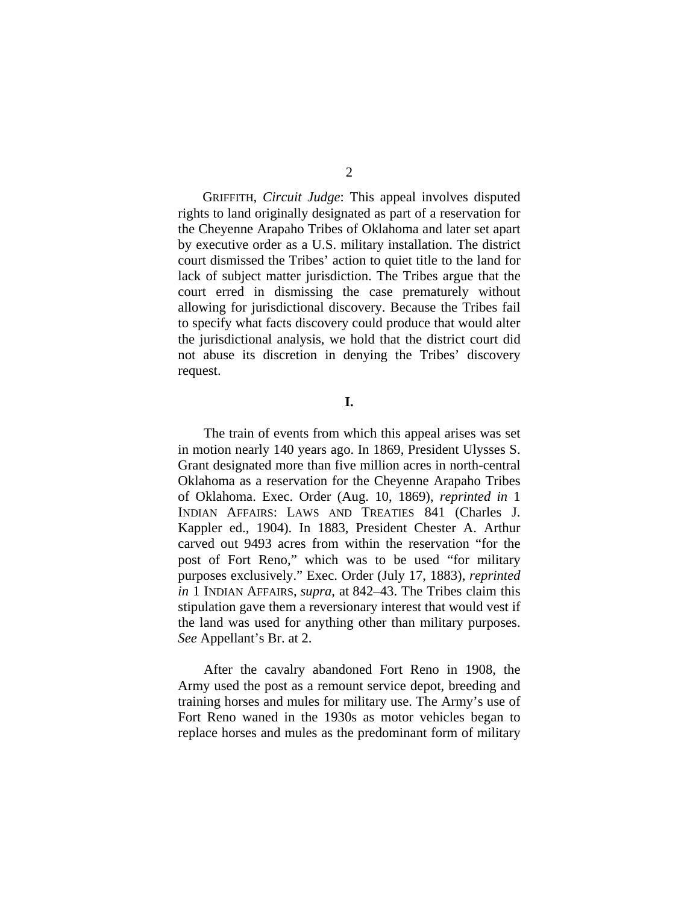GRIFFITH, *Circuit Judge*: This appeal involves disputed rights to land originally designated as part of a reservation for the Cheyenne Arapaho Tribes of Oklahoma and later set apart by executive order as a U.S. military installation. The district court dismissed the Tribes' action to quiet title to the land for lack of subject matter jurisdiction. The Tribes argue that the court erred in dismissing the case prematurely without allowing for jurisdictional discovery. Because the Tribes fail to specify what facts discovery could produce that would alter the jurisdictional analysis, we hold that the district court did not abuse its discretion in denying the Tribes' discovery request.

#### **I.**

The train of events from which this appeal arises was set in motion nearly 140 years ago. In 1869, President Ulysses S. Grant designated more than five million acres in north-central Oklahoma as a reservation for the Cheyenne Arapaho Tribes of Oklahoma. Exec. Order (Aug. 10, 1869), *reprinted in* 1 INDIAN AFFAIRS: LAWS AND TREATIES 841 (Charles J. Kappler ed., 1904). In 1883, President Chester A. Arthur carved out 9493 acres from within the reservation "for the post of Fort Reno," which was to be used "for military purposes exclusively." Exec. Order (July 17, 1883), *reprinted in* 1 INDIAN AFFAIRS, *supra*, at 842–43. The Tribes claim this stipulation gave them a reversionary interest that would vest if the land was used for anything other than military purposes. *See* Appellant's Br. at 2.

After the cavalry abandoned Fort Reno in 1908, the Army used the post as a remount service depot, breeding and training horses and mules for military use. The Army's use of Fort Reno waned in the 1930s as motor vehicles began to replace horses and mules as the predominant form of military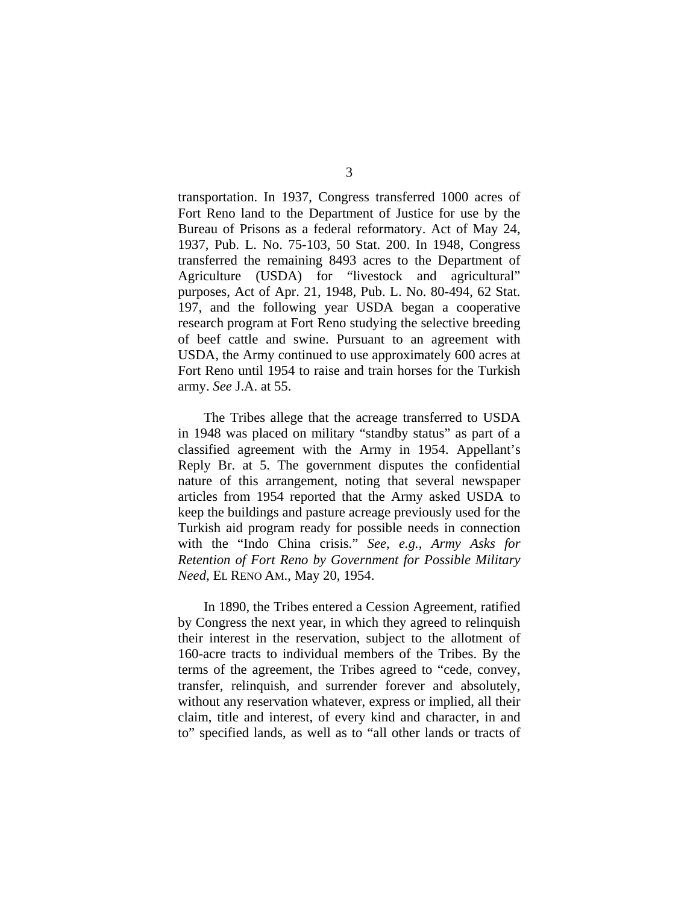transportation. In 1937, Congress transferred 1000 acres of Fort Reno land to the Department of Justice for use by the Bureau of Prisons as a federal reformatory. Act of May 24, 1937, Pub. L. No. 75-103, 50 Stat. 200. In 1948, Congress transferred the remaining 8493 acres to the Department of Agriculture (USDA) for "livestock and agricultural" purposes, Act of Apr. 21, 1948, Pub. L. No. 80-494, 62 Stat. 197, and the following year USDA began a cooperative research program at Fort Reno studying the selective breeding of beef cattle and swine. Pursuant to an agreement with USDA, the Army continued to use approximately 600 acres at Fort Reno until 1954 to raise and train horses for the Turkish army. *See* J.A. at 55.

The Tribes allege that the acreage transferred to USDA in 1948 was placed on military "standby status" as part of a classified agreement with the Army in 1954. Appellant's Reply Br. at 5. The government disputes the confidential nature of this arrangement, noting that several newspaper articles from 1954 reported that the Army asked USDA to keep the buildings and pasture acreage previously used for the Turkish aid program ready for possible needs in connection with the "Indo China crisis." *See, e.g.*, *Army Asks for Retention of Fort Reno by Government for Possible Military Need*, EL RENO AM., May 20, 1954.

In 1890, the Tribes entered a Cession Agreement, ratified by Congress the next year, in which they agreed to relinquish their interest in the reservation, subject to the allotment of 160-acre tracts to individual members of the Tribes. By the terms of the agreement, the Tribes agreed to "cede, convey, transfer, relinquish, and surrender forever and absolutely, without any reservation whatever, express or implied, all their claim, title and interest, of every kind and character, in and to" specified lands, as well as to "all other lands or tracts of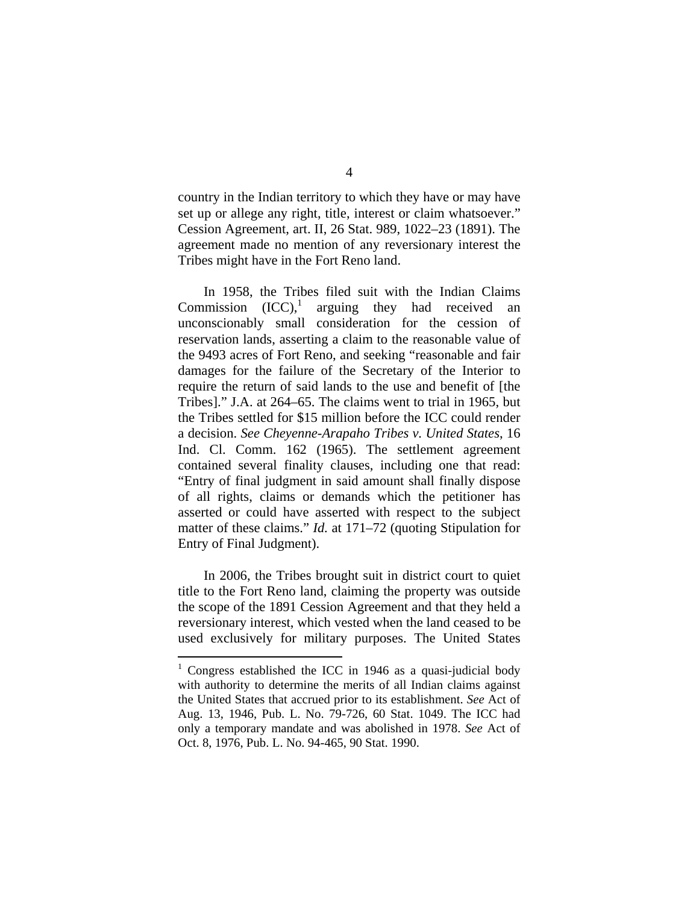country in the Indian territory to which they have or may have set up or allege any right, title, interest or claim whatsoever." Cession Agreement, art. II, 26 Stat. 989, 1022–23 (1891). The agreement made no mention of any reversionary interest the Tribes might have in the Fort Reno land.

In 1958, the Tribes filed suit with the Indian Claims Commission  $(ICC)$ , arguing they had received an unconscionably small consideration for the cession of reservation lands, asserting a claim to the reasonable value of the 9493 acres of Fort Reno, and seeking "reasonable and fair damages for the failure of the Secretary of the Interior to require the return of said lands to the use and benefit of [the Tribes]." J.A. at 264–65. The claims went to trial in 1965, but the Tribes settled for \$15 million before the ICC could render a decision. *See Cheyenne-Arapaho Tribes v. United States*, 16 Ind. Cl. Comm. 162 (1965). The settlement agreement contained several finality clauses, including one that read: "Entry of final judgment in said amount shall finally dispose of all rights, claims or demands which the petitioner has asserted or could have asserted with respect to the subject matter of these claims." *Id.* at 171–72 (quoting Stipulation for Entry of Final Judgment).

In 2006, the Tribes brought suit in district court to quiet title to the Fort Reno land, claiming the property was outside the scope of the 1891 Cession Agreement and that they held a reversionary interest, which vested when the land ceased to be used exclusively for military purposes. The United States

<sup>&</sup>lt;sup>1</sup> Congress established the ICC in 1946 as a quasi-judicial body with authority to determine the merits of all Indian claims against the United States that accrued prior to its establishment. *See* Act of Aug. 13, 1946, Pub. L. No. 79-726, 60 Stat. 1049. The ICC had only a temporary mandate and was abolished in 1978. *See* Act of Oct. 8, 1976, Pub. L. No. 94-465, 90 Stat. 1990.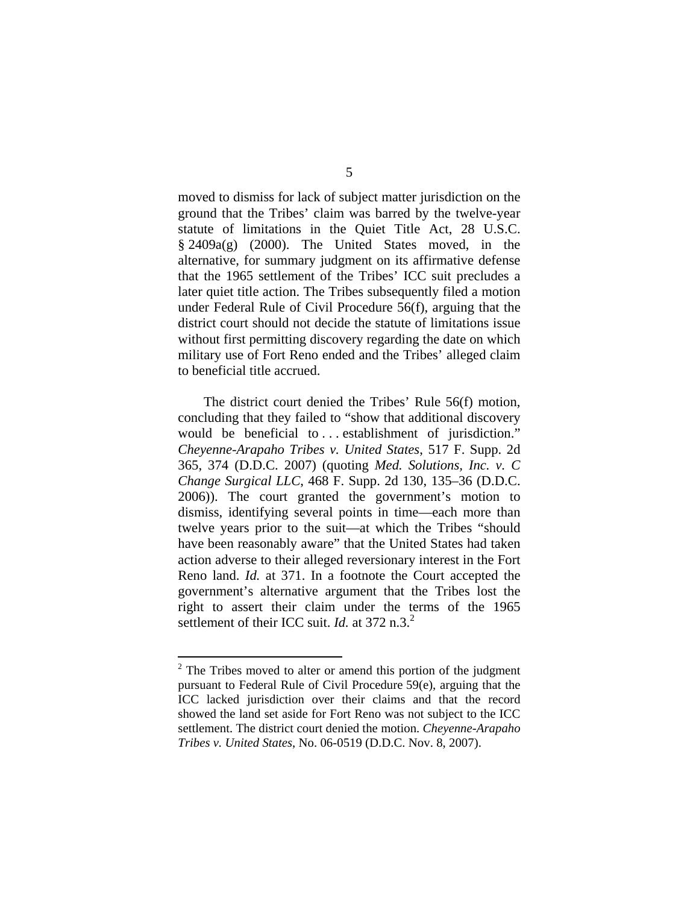moved to dismiss for lack of subject matter jurisdiction on the ground that the Tribes' claim was barred by the twelve-year statute of limitations in the Quiet Title Act, 28 U.S.C. § 2409a(g) (2000). The United States moved, in the alternative, for summary judgment on its affirmative defense that the 1965 settlement of the Tribes' ICC suit precludes a later quiet title action. The Tribes subsequently filed a motion under Federal Rule of Civil Procedure 56(f), arguing that the district court should not decide the statute of limitations issue without first permitting discovery regarding the date on which military use of Fort Reno ended and the Tribes' alleged claim to beneficial title accrued.

The district court denied the Tribes' Rule 56(f) motion, concluding that they failed to "show that additional discovery would be beneficial to ... establishment of jurisdiction." *Cheyenne-Arapaho Tribes v. United States*, 517 F. Supp. 2d 365, 374 (D.D.C. 2007) (quoting *Med. Solutions, Inc. v. C Change Surgical LLC*, 468 F. Supp. 2d 130, 135–36 (D.D.C. 2006)). The court granted the government's motion to dismiss, identifying several points in time—each more than twelve years prior to the suit—at which the Tribes "should have been reasonably aware" that the United States had taken action adverse to their alleged reversionary interest in the Fort Reno land. *Id.* at 371. In a footnote the Court accepted the government's alternative argument that the Tribes lost the right to assert their claim under the terms of the 1965 settlement of their ICC suit. *Id.* at 372 n.3.<sup>2</sup>

 $2^2$  The Tribes moved to alter or amend this portion of the judgment pursuant to Federal Rule of Civil Procedure 59(e), arguing that the ICC lacked jurisdiction over their claims and that the record showed the land set aside for Fort Reno was not subject to the ICC settlement. The district court denied the motion. *Cheyenne-Arapaho Tribes v. United States*, No. 06-0519 (D.D.C. Nov. 8, 2007).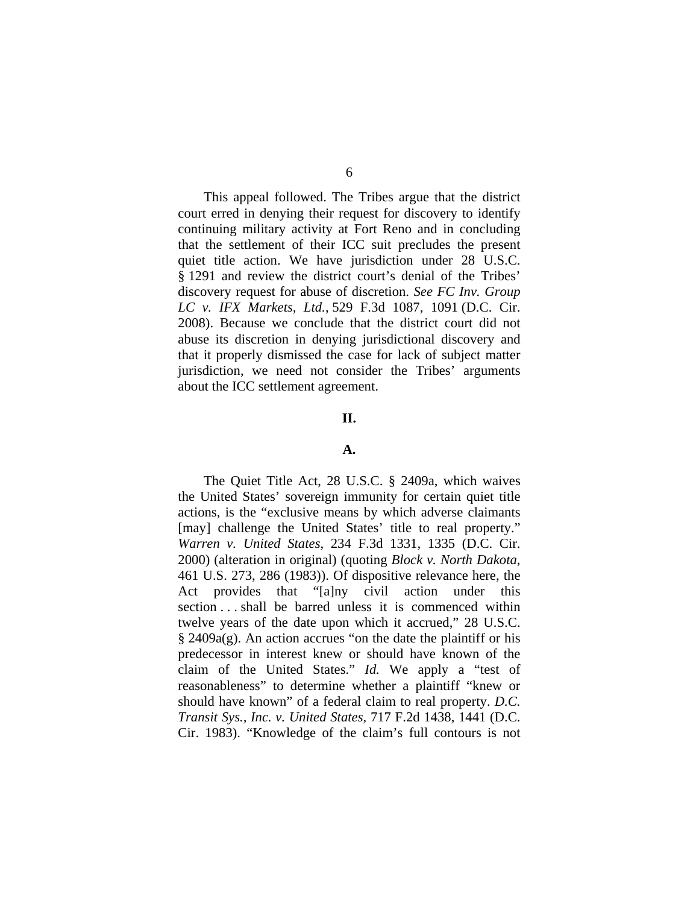This appeal followed. The Tribes argue that the district court erred in denying their request for discovery to identify continuing military activity at Fort Reno and in concluding that the settlement of their ICC suit precludes the present quiet title action. We have jurisdiction under 28 U.S.C. § 1291 and review the district court's denial of the Tribes' discovery request for abuse of discretion. *See FC Inv. Group LC v. IFX Markets, Ltd.*, 529 F.3d 1087, 1091 (D.C. Cir. 2008). Because we conclude that the district court did not abuse its discretion in denying jurisdictional discovery and that it properly dismissed the case for lack of subject matter jurisdiction, we need not consider the Tribes' arguments about the ICC settlement agreement.

#### **II.**

### **A.**

The Quiet Title Act, 28 U.S.C. § 2409a, which waives the United States' sovereign immunity for certain quiet title actions, is the "exclusive means by which adverse claimants [may] challenge the United States' title to real property." *Warren v. United States*, 234 F.3d 1331, 1335 (D.C. Cir. 2000) (alteration in original) (quoting *Block v. North Dakota*, 461 U.S. 273, 286 (1983)). Of dispositive relevance here, the Act provides that "[a]ny civil action under this section . . . shall be barred unless it is commenced within twelve years of the date upon which it accrued," 28 U.S.C. § 2409a(g). An action accrues "on the date the plaintiff or his predecessor in interest knew or should have known of the claim of the United States." *Id.* We apply a "test of reasonableness" to determine whether a plaintiff "knew or should have known" of a federal claim to real property. *D.C. Transit Sys., Inc. v. United States*, 717 F.2d 1438, 1441 (D.C. Cir. 1983). "Knowledge of the claim's full contours is not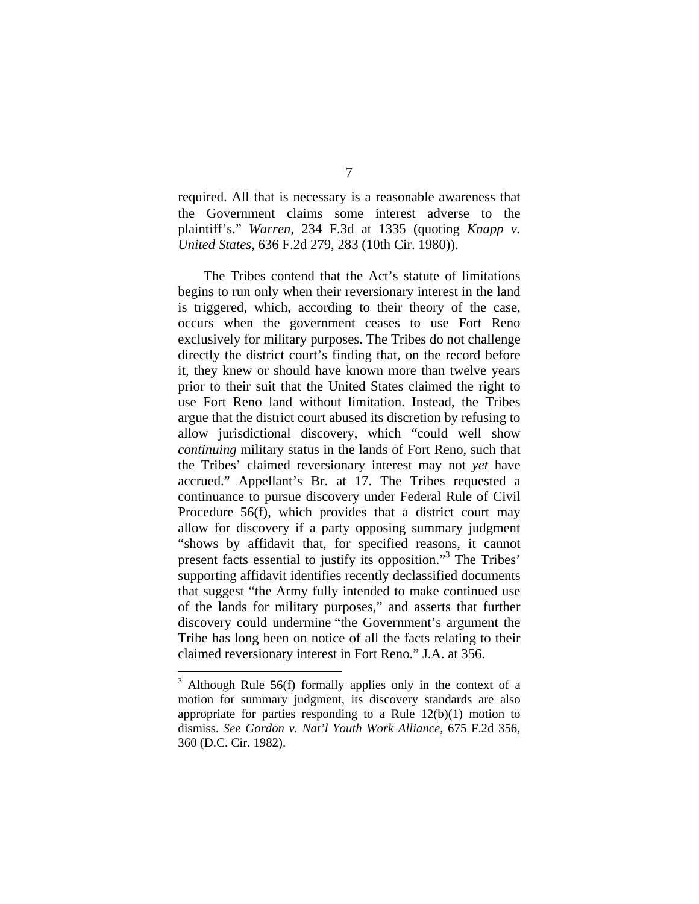required. All that is necessary is a reasonable awareness that the Government claims some interest adverse to the plaintiff's." *Warren*, 234 F.3d at 1335 (quoting *Knapp v. United States*, 636 F.2d 279, 283 (10th Cir. 1980)).

The Tribes contend that the Act's statute of limitations begins to run only when their reversionary interest in the land is triggered, which, according to their theory of the case, occurs when the government ceases to use Fort Reno exclusively for military purposes. The Tribes do not challenge directly the district court's finding that, on the record before it, they knew or should have known more than twelve years prior to their suit that the United States claimed the right to use Fort Reno land without limitation. Instead, the Tribes argue that the district court abused its discretion by refusing to allow jurisdictional discovery, which "could well show *continuing* military status in the lands of Fort Reno, such that the Tribes' claimed reversionary interest may not *yet* have accrued." Appellant's Br. at 17. The Tribes requested a continuance to pursue discovery under Federal Rule of Civil Procedure 56(f), which provides that a district court may allow for discovery if a party opposing summary judgment "shows by affidavit that, for specified reasons, it cannot present facts essential to justify its opposition."<sup>3</sup> The Tribes' supporting affidavit identifies recently declassified documents that suggest "the Army fully intended to make continued use of the lands for military purposes," and asserts that further discovery could undermine "the Government's argument the Tribe has long been on notice of all the facts relating to their claimed reversionary interest in Fort Reno." J.A. at 356.

 $3$  Although Rule 56(f) formally applies only in the context of a motion for summary judgment, its discovery standards are also appropriate for parties responding to a Rule  $12(b)(1)$  motion to dismiss. *See Gordon v. Nat'l Youth Work Alliance*, 675 F.2d 356, 360 (D.C. Cir. 1982).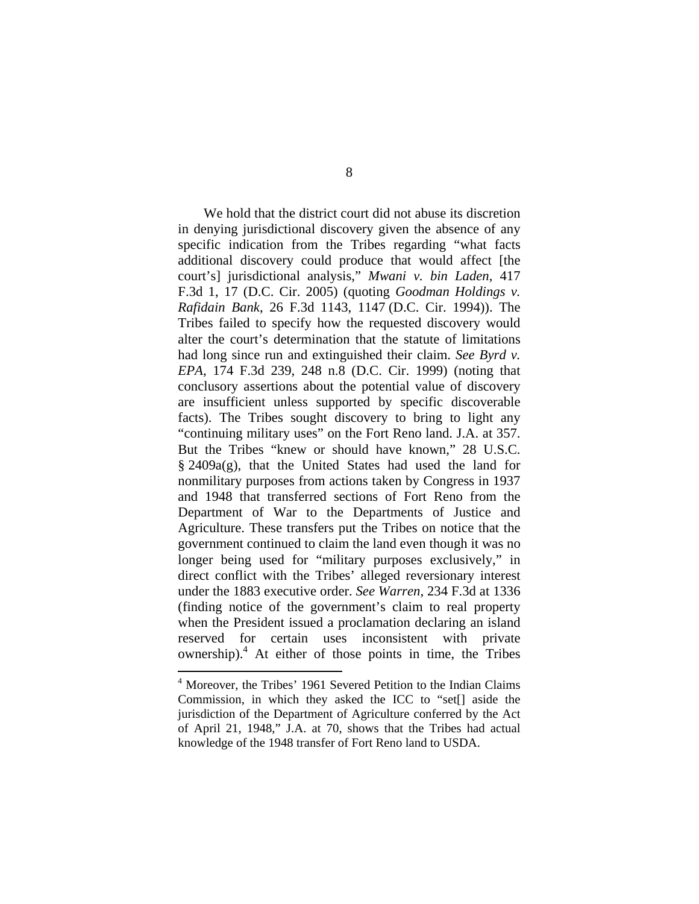We hold that the district court did not abuse its discretion in denying jurisdictional discovery given the absence of any specific indication from the Tribes regarding "what facts additional discovery could produce that would affect [the court's] jurisdictional analysis," *Mwani v. bin Laden*, 417 F.3d 1, 17 (D.C. Cir. 2005) (quoting *Goodman Holdings v. Rafidain Bank*, 26 F.3d 1143, 1147 (D.C. Cir. 1994)). The Tribes failed to specify how the requested discovery would alter the court's determination that the statute of limitations had long since run and extinguished their claim. *See Byrd v. EPA*, 174 F.3d 239, 248 n.8 (D.C. Cir. 1999) (noting that conclusory assertions about the potential value of discovery are insufficient unless supported by specific discoverable facts). The Tribes sought discovery to bring to light any "continuing military uses" on the Fort Reno land. J.A. at 357. But the Tribes "knew or should have known," 28 U.S.C. § 2409a(g), that the United States had used the land for nonmilitary purposes from actions taken by Congress in 1937 and 1948 that transferred sections of Fort Reno from the Department of War to the Departments of Justice and Agriculture. These transfers put the Tribes on notice that the government continued to claim the land even though it was no longer being used for "military purposes exclusively," in direct conflict with the Tribes' alleged reversionary interest under the 1883 executive order. *See Warren*, 234 F.3d at 1336 (finding notice of the government's claim to real property when the President issued a proclamation declaring an island reserved for certain uses inconsistent with private ownership).4 At either of those points in time, the Tribes

<sup>&</sup>lt;sup>4</sup> Moreover, the Tribes' 1961 Severed Petition to the Indian Claims Commission, in which they asked the ICC to "set[] aside the jurisdiction of the Department of Agriculture conferred by the Act of April 21, 1948," J.A. at 70, shows that the Tribes had actual knowledge of the 1948 transfer of Fort Reno land to USDA.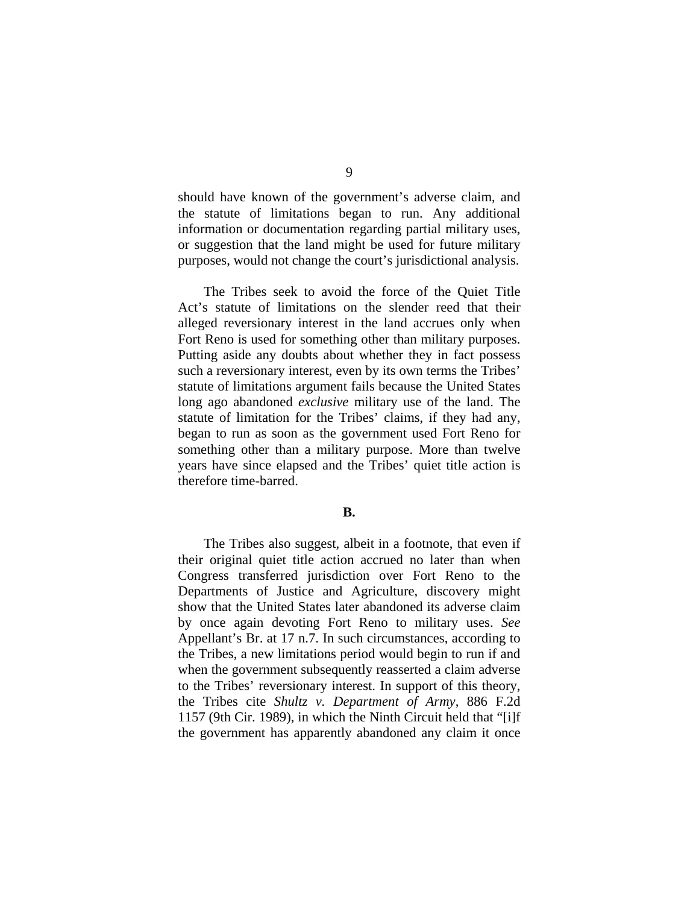should have known of the government's adverse claim, and the statute of limitations began to run. Any additional information or documentation regarding partial military uses, or suggestion that the land might be used for future military purposes, would not change the court's jurisdictional analysis.

The Tribes seek to avoid the force of the Quiet Title Act's statute of limitations on the slender reed that their alleged reversionary interest in the land accrues only when Fort Reno is used for something other than military purposes. Putting aside any doubts about whether they in fact possess such a reversionary interest, even by its own terms the Tribes' statute of limitations argument fails because the United States long ago abandoned *exclusive* military use of the land. The statute of limitation for the Tribes' claims, if they had any, began to run as soon as the government used Fort Reno for something other than a military purpose. More than twelve years have since elapsed and the Tribes' quiet title action is therefore time-barred.

### **B.**

The Tribes also suggest, albeit in a footnote, that even if their original quiet title action accrued no later than when Congress transferred jurisdiction over Fort Reno to the Departments of Justice and Agriculture, discovery might show that the United States later abandoned its adverse claim by once again devoting Fort Reno to military uses. *See* Appellant's Br. at 17 n.7. In such circumstances, according to the Tribes, a new limitations period would begin to run if and when the government subsequently reasserted a claim adverse to the Tribes' reversionary interest. In support of this theory, the Tribes cite *Shultz v. Department of Army*, 886 F.2d 1157 (9th Cir. 1989), in which the Ninth Circuit held that "[i]f the government has apparently abandoned any claim it once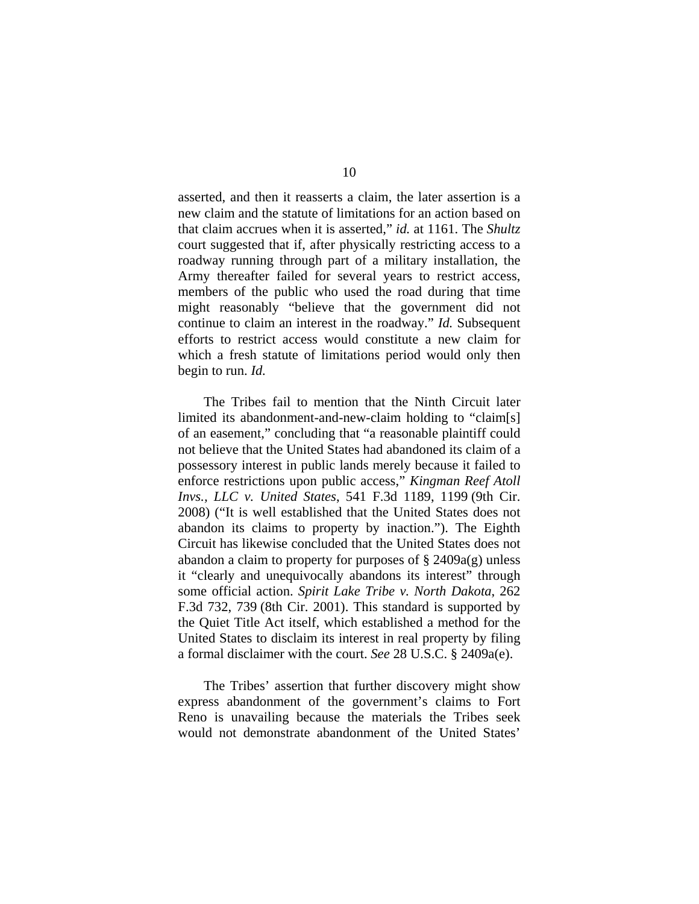asserted, and then it reasserts a claim, the later assertion is a new claim and the statute of limitations for an action based on that claim accrues when it is asserted," *id.* at 1161. The *Shultz* court suggested that if, after physically restricting access to a roadway running through part of a military installation, the Army thereafter failed for several years to restrict access, members of the public who used the road during that time might reasonably "believe that the government did not continue to claim an interest in the roadway." *Id.* Subsequent efforts to restrict access would constitute a new claim for which a fresh statute of limitations period would only then begin to run. *Id.*

The Tribes fail to mention that the Ninth Circuit later limited its abandonment-and-new-claim holding to "claim[s] of an easement," concluding that "a reasonable plaintiff could not believe that the United States had abandoned its claim of a possessory interest in public lands merely because it failed to enforce restrictions upon public access," *Kingman Reef Atoll Invs., LLC v. United States*, 541 F.3d 1189, 1199 (9th Cir. 2008) ("It is well established that the United States does not abandon its claims to property by inaction."). The Eighth Circuit has likewise concluded that the United States does not abandon a claim to property for purposes of  $\S$  2409a(g) unless it "clearly and unequivocally abandons its interest" through some official action. *Spirit Lake Tribe v. North Dakota*, 262 F.3d 732, 739 (8th Cir. 2001). This standard is supported by the Quiet Title Act itself, which established a method for the United States to disclaim its interest in real property by filing a formal disclaimer with the court. *See* 28 U.S.C. § 2409a(e).

The Tribes' assertion that further discovery might show express abandonment of the government's claims to Fort Reno is unavailing because the materials the Tribes seek would not demonstrate abandonment of the United States'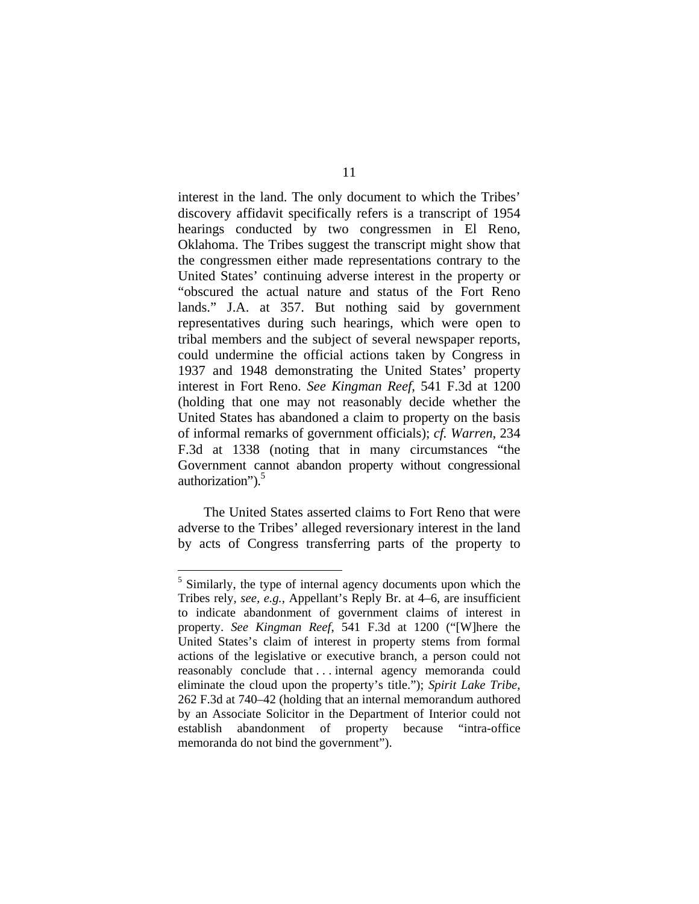interest in the land. The only document to which the Tribes' discovery affidavit specifically refers is a transcript of 1954 hearings conducted by two congressmen in El Reno, Oklahoma. The Tribes suggest the transcript might show that the congressmen either made representations contrary to the United States' continuing adverse interest in the property or "obscured the actual nature and status of the Fort Reno lands." J.A. at 357. But nothing said by government representatives during such hearings, which were open to tribal members and the subject of several newspaper reports, could undermine the official actions taken by Congress in 1937 and 1948 demonstrating the United States' property interest in Fort Reno. *See Kingman Reef*, 541 F.3d at 1200 (holding that one may not reasonably decide whether the United States has abandoned a claim to property on the basis of informal remarks of government officials); *cf. Warren*, 234 F.3d at 1338 (noting that in many circumstances "the Government cannot abandon property without congressional authorization" $)$ .<sup>5</sup>

The United States asserted claims to Fort Reno that were adverse to the Tribes' alleged reversionary interest in the land by acts of Congress transferring parts of the property to

<u>.</u>

<sup>&</sup>lt;sup>5</sup> Similarly, the type of internal agency documents upon which the Tribes rely, *see, e.g.*, Appellant's Reply Br. at 4–6, are insufficient to indicate abandonment of government claims of interest in property. *See Kingman Reef*, 541 F.3d at 1200 ("[W]here the United States's claim of interest in property stems from formal actions of the legislative or executive branch, a person could not reasonably conclude that . . . internal agency memoranda could eliminate the cloud upon the property's title."); *Spirit Lake Tribe*, 262 F.3d at 740–42 (holding that an internal memorandum authored by an Associate Solicitor in the Department of Interior could not establish abandonment of property because "intra-office memoranda do not bind the government").